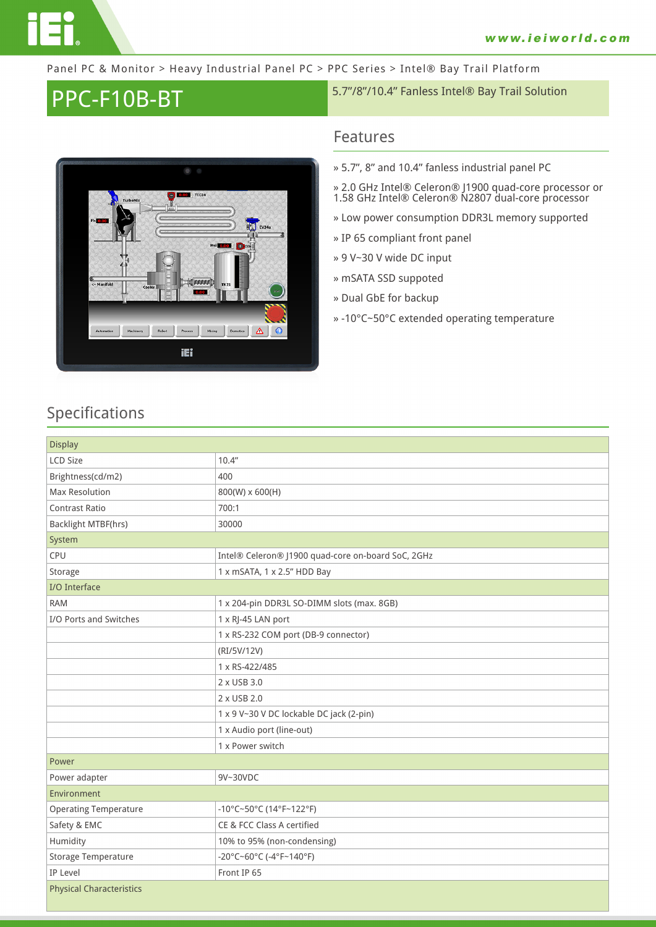

#### Panel PC & Monitor > Heavy Industrial Panel PC > PPC Series > Intel® Bay Trail Platform

# PPC-F10B-BT 5.7"/8"/10.4" Fanless Intel® Bay Trail Solution



### **Features**

- **» 5.7", 8" and 10.4" fanless industrial panel PC**
- **» 2.0 GHz Intel® Celeron® J1900 quad-core processor or 1.58 GHz Intel® Celeron® N2807 dual-core processor**
- **» Low power consumption DDR3L memory supported**
- **» IP 65 compliant front panel**
- **» 9 V~30 V wide DC input**
- **» mSATA SSD suppoted**
- **» Dual GbE for backup**
- **» -10°C~50°C extended operating temperature**

## **Specifications**

| <b>Display</b>                  |                                                    |  |
|---------------------------------|----------------------------------------------------|--|
| <b>LCD Size</b>                 | 10.4"                                              |  |
| Brightness(cd/m2)               | 400                                                |  |
| <b>Max Resolution</b>           | 800(W) x 600(H)                                    |  |
| Contrast Ratio                  | 700:1                                              |  |
| Backlight MTBF(hrs)             | 30000                                              |  |
| System                          |                                                    |  |
| CPU                             | Intel® Celeron® J1900 quad-core on-board SoC, 2GHz |  |
| Storage                         | 1 x mSATA, 1 x 2.5" HDD Bay                        |  |
| I/O Interface                   |                                                    |  |
| <b>RAM</b>                      | 1 x 204-pin DDR3L SO-DIMM slots (max. 8GB)         |  |
| I/O Ports and Switches          | 1 x RJ-45 LAN port                                 |  |
|                                 | 1 x RS-232 COM port (DB-9 connector)               |  |
|                                 | (RI/5V/12V)                                        |  |
|                                 | 1 x RS-422/485                                     |  |
|                                 | 2 x USB 3.0                                        |  |
|                                 | 2 x USB 2.0                                        |  |
|                                 | 1 x 9 V~30 V DC lockable DC jack (2-pin)           |  |
|                                 | 1 x Audio port (line-out)                          |  |
|                                 | 1 x Power switch                                   |  |
| Power                           |                                                    |  |
| Power adapter                   | 9V~30VDC                                           |  |
| Environment                     |                                                    |  |
| <b>Operating Temperature</b>    | -10°C~50°C (14°F~122°F)                            |  |
| Safety & EMC                    | CE & FCC Class A certified                         |  |
| Humidity                        | 10% to 95% (non-condensing)                        |  |
| Storage Temperature             | -20°C~60°C (-4°F~140°F)                            |  |
| IP Level                        | Front IP 65                                        |  |
| <b>Physical Characteristics</b> |                                                    |  |